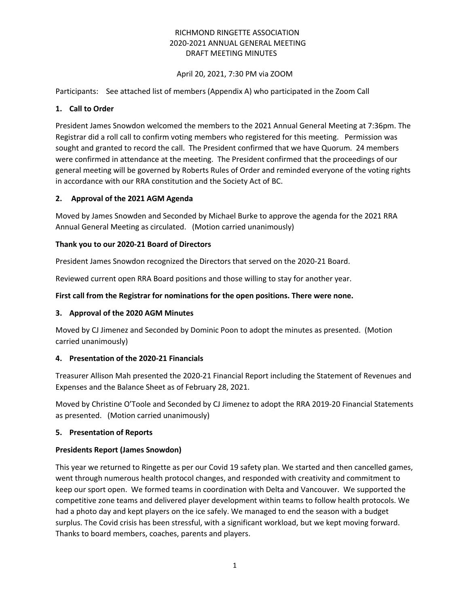# RICHMOND RINGETTE ASSOCIATION 2020-2021 ANNUAL GENERAL MEETING DRAFT MEETING MINUTES

## April 20, 2021, 7:30 PM via ZOOM

Participants: See attached list of members (Appendix A) who participated in the Zoom Call

## **1. Call to Order**

President James Snowdon welcomed the members to the 2021 Annual General Meeting at 7:36pm. The Registrar did a roll call to confirm voting members who registered for this meeting. Permission was sought and granted to record the call. The President confirmed that we have Quorum. 24 members were confirmed in attendance at the meeting. The President confirmed that the proceedings of our general meeting will be governed by Roberts Rules of Order and reminded everyone of the voting rights in accordance with our RRA constitution and the Society Act of BC.

# **2. Approval of the 2021 AGM Agenda**

Moved by James Snowden and Seconded by Michael Burke to approve the agenda for the 2021 RRA Annual General Meeting as circulated. (Motion carried unanimously)

# **Thank you to our 2020-21 Board of Directors**

President James Snowdon recognized the Directors that served on the 2020-21 Board.

Reviewed current open RRA Board positions and those willing to stay for another year.

# **First call from the Registrar for nominations for the open positions. There were none.**

## **3. Approval of the 2020 AGM Minutes**

Moved by CJ Jimenez and Seconded by Dominic Poon to adopt the minutes as presented. (Motion carried unanimously)

## **4. Presentation of the 2020-21 Financials**

Treasurer Allison Mah presented the 2020-21 Financial Report including the Statement of Revenues and Expenses and the Balance Sheet as of February 28, 2021.

Moved by Christine O'Toole and Seconded by CJ Jimenez to adopt the RRA 2019-20 Financial Statements as presented. (Motion carried unanimously)

## **5. Presentation of Reports**

## **Presidents Report (James Snowdon)**

This year we returned to Ringette as per our Covid 19 safety plan. We started and then cancelled games, went through numerous health protocol changes, and responded with creativity and commitment to keep our sport open. We formed teams in coordination with Delta and Vancouver. We supported the competitive zone teams and delivered player development within teams to follow health protocols. We had a photo day and kept players on the ice safely. We managed to end the season with a budget surplus. The Covid crisis has been stressful, with a significant workload, but we kept moving forward. Thanks to board members, coaches, parents and players.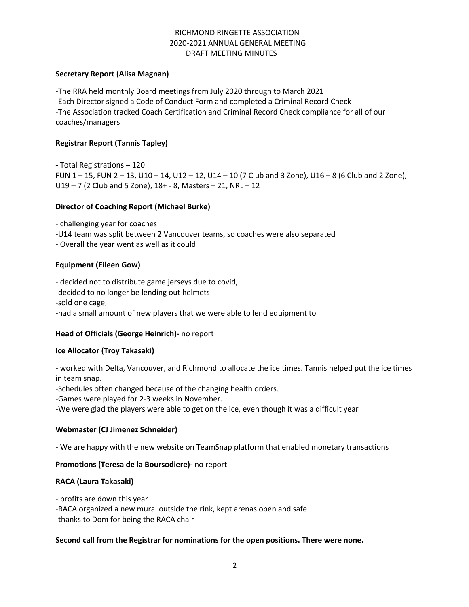# RICHMOND RINGETTE ASSOCIATION 2020-2021 ANNUAL GENERAL MEETING DRAFT MEETING MINUTES

#### **Secretary Report (Alisa Magnan)**

-The RRA held monthly Board meetings from July 2020 through to March 2021 -Each Director signed a Code of Conduct Form and completed a Criminal Record Check -The Association tracked Coach Certification and Criminal Record Check compliance for all of our coaches/managers

## **Registrar Report (Tannis Tapley)**

**-** Total Registrations – 120 FUN  $1 - 15$ , FUN  $2 - 13$ , U10  $- 14$ , U12  $- 12$ , U14  $- 10$  (7 Club and 3 Zone), U16  $- 8$  (6 Club and 2 Zone), U19 – 7 (2 Club and 5 Zone), 18+ - 8, Masters – 21, NRL – 12

#### **Director of Coaching Report (Michael Burke)**

- challenging year for coaches -U14 team was split between 2 Vancouver teams, so coaches were also separated

- Overall the year went as well as it could

## **Equipment (Eileen Gow)**

- decided not to distribute game jerseys due to covid, -decided to no longer be lending out helmets -sold one cage, -had a small amount of new players that we were able to lend equipment to

## **Head of Officials (George Heinrich)-** no report

#### **Ice Allocator (Troy Takasaki)**

- worked with Delta, Vancouver, and Richmond to allocate the ice times. Tannis helped put the ice times in team snap.

-Schedules often changed because of the changing health orders.

-Games were played for 2-3 weeks in November.

-We were glad the players were able to get on the ice, even though it was a difficult year

## **Webmaster (CJ Jimenez Schneider)**

- We are happy with the new website on TeamSnap platform that enabled monetary transactions

#### **Promotions (Teresa de la Boursodiere)-** no report

## **RACA (Laura Takasaki)**

- profits are down this year

-RACA organized a new mural outside the rink, kept arenas open and safe

-thanks to Dom for being the RACA chair

## **Second call from the Registrar for nominations for the open positions. There were none.**